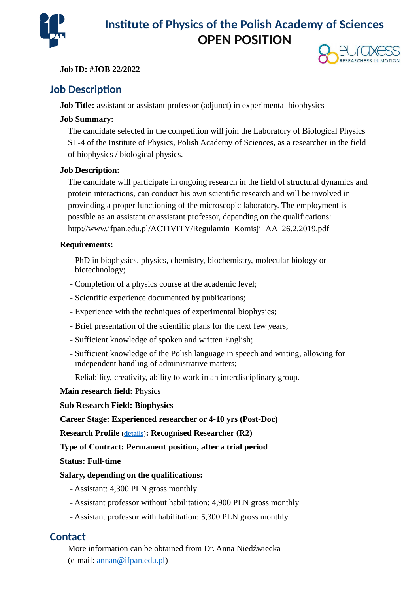

# **Institute of Physics of the Polish Academy of Sciences OPEN POSITION**

**Job ID: #JOB 22/2022**



### **Job Description**

**Job Title:** assistant or assistant professor (adjunct) in experimental biophysics

### **Job Summary:**

The candidate selected in the competition will join the Laboratory of Biological Physics SL-4 of the Institute of Physics, Polish Academy of Sciences, as a researcher in the field of biophysics / biological physics.

#### **Job Description:**

The candidate will participate in ongoing research in the field of structural dynamics and protein interactions, can conduct his own scientific research and will be involved in provinding a proper functioning of the microscopic laboratory. The employment is possible as an assistant or assistant professor, depending on the qualifications: http://www.ifpan.edu.pl/ACTIVITY/Regulamin\_Komisji\_AA\_26.2.2019.pdf

#### **Requirements:**

- PhD in biophysics, physics, chemistry, biochemistry, molecular biology or biotechnology;
- Completion of a physics course at the academic level;
- Scientific experience documented by publications;
- Experience with the techniques of experimental biophysics;
- Brief presentation of the scientific plans for the next few years;
- Sufficient knowledge of spoken and written English;
- Sufficient knowledge of the Polish language in speech and writing, allowing for independent handling of administrative matters;
- Reliability, creativity, ability to work in an interdisciplinary group.

#### **Main research field:** Physics

#### **Sub Research Field: Biophysics**

#### **Career Stage: Experienced researcher or 4-10 yrs (Post-Doc)**

**Research Profile** (**[details](https://euraxess.ec.europa.eu/europe/career-development/training-researchers/research-profiles-descriptors)**)**: Recognised Researcher (R2)**

### **Type of Contract: Permanent position, after a trial period**

#### **Status: Full-time**

### **Salary, depending on the qualifications:**

- Assistant: 4,300 PLN gross monthly
- Assistant professor without habilitation: 4,900 PLN gross monthly
- Assistant professor with habilitation: 5,300 PLN gross monthly

### **Contact**

More information can be obtained from Dr. Anna Niedźwiecka (e-mail: [annan@ifpan.edu.pl\)](mailto:annan@ifpan.edu.pl)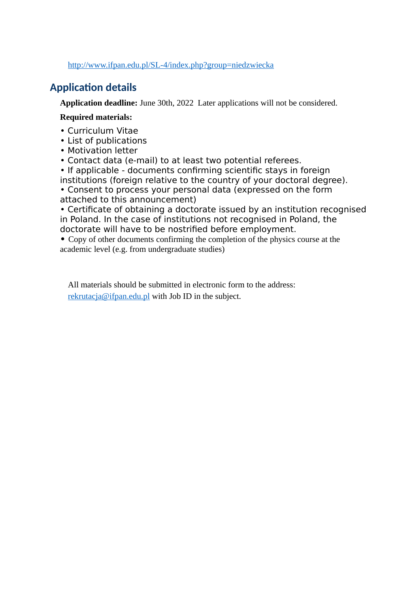<http://www.ifpan.edu.pl/SL-4/index.php?group=niedzwiecka>

## **Application details**

**Application deadline:** June 30th, 2022 Later applications will not be considered.

#### **Required materials:**

- Curriculum Vitae
- List of publications
- Motivation letter
- Contact data (e-mail) to at least two potential referees.
- If applicable documents confirming scientific stays in foreign institutions (foreign relative to the country of your doctoral degree).
- Consent to process your personal data (expressed on the form attached to this announcement)

• Certificate of obtaining a doctorate issued by an institution recognised in Poland. In the case of institutions not recognised in Poland, the doctorate will have to be nostrified before employment.

**•** Copy of other documents confirming the completion of the physics course at the academic level (e.g. from undergraduate studies)

All materials should be submitted in electronic form to the address: [rekrutacja@ifpan.edu.pl](mailto:rekrutacja@ifpan.edu.pl) with Job ID in the subject.